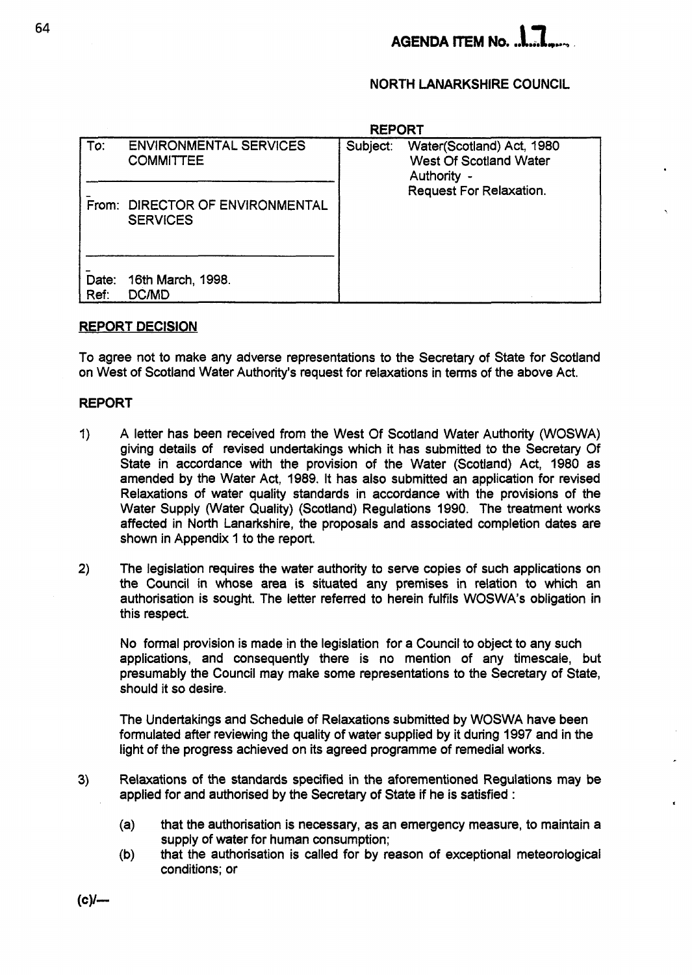## **NORTH LANARKSHIRE COUNCIL**

|               | <b>REPORT</b>                                      |          |                                                                    |  |  |  |  |  |
|---------------|----------------------------------------------------|----------|--------------------------------------------------------------------|--|--|--|--|--|
| To:           | <b>ENVIRONMENTAL SERVICES</b><br><b>COMMITTEE</b>  | Subject: | Water(Scotland) Act, 1980<br>West Of Scotland Water<br>Authority - |  |  |  |  |  |
|               | From: DIRECTOR OF ENVIRONMENTAL<br><b>SERVICES</b> |          | <b>Request For Relaxation.</b>                                     |  |  |  |  |  |
| Date:<br>Ref: | 16th March, 1998.<br><b>DC/MD</b>                  |          |                                                                    |  |  |  |  |  |

#### **REPORT DECISION**

To agree not to make any adverse representations to the Secretary of State for Scotland on West of Scotland Water Authority's request for relaxations in terms of the above Act.

#### **REPORT**

- I) A letter has been received from the West Of Scotland Water Authority (WOSWA) giving details of revised undertakings which it has submitted to the Secretary Of State in accordance with the provision of the Water (Scotland) Act, 1980 as amended by the Water Act, 1989. It has also submitted an application for revised Relaxations of water quality standards in accordance with the provisions of the Water Supply (Water Quality) (Scotland) Regulations 1990. The treatment works affected in North Lanarkshire, the proposals and associated completion dates are shown in Appendix 1 to the report.
- **2)** The legislation requires the water authority to serve copies of such applications on the Council in whose area is situated any premises in relation to which an authorisation is sought. The letter referred to herein fulfils WOSWA's obligation in this respect.

**No** formal provision is made in the legislation for a Council to object to any such applications, and consequently there is no mention of any timescale, but presumably the Council may make some representations to the Secretary of State, should it so desire.

The Undertakings and Schedule of Relaxations submitted by WOSWA have been formulated after reviewing the quality of water supplied by it during 1997 and in the light of the progress achieved **on** its agreed programme of remedial works.

**3)** Relaxations of the standards specified in the aforementioned Regulations may be applied for and authorised by the Secretary of State if he is satisfied : *<sup>a</sup>*

- (a) that the authorisation is necessary, as an emergency measure, to maintain a supply of water for human consumption;
- (b) that the authorisation is called for by reason of exceptional meteorological conditions; or

 $(c)$ /---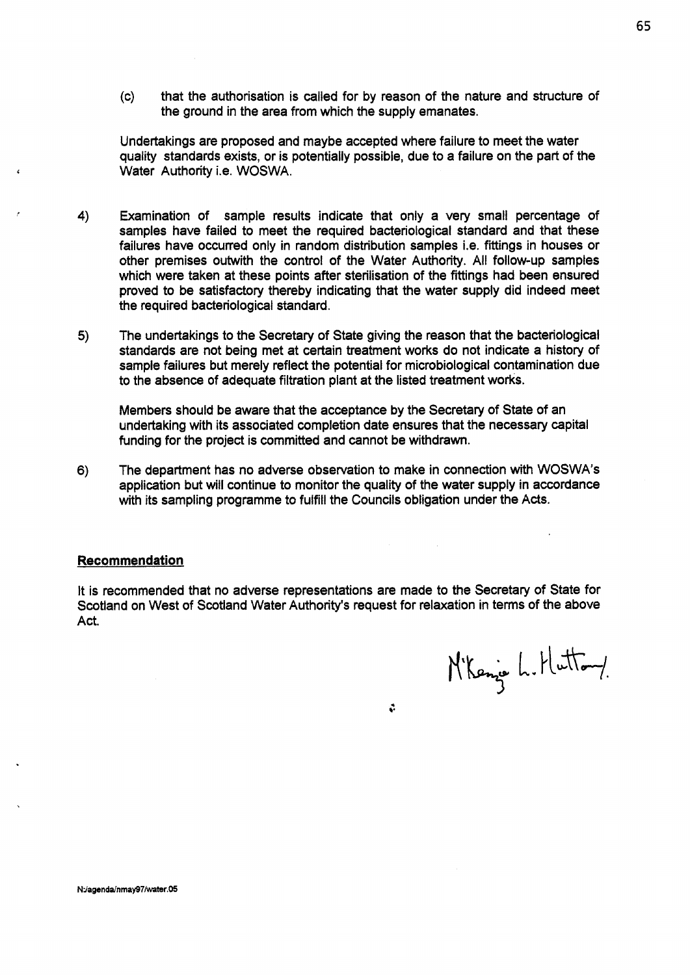(c) that the authorisation is called for by reason of the nature and structure of the ground in the area from which the supply emanates.

Undertakings are proposed and maybe accepted where failure to meet the water quality standards exists, or is potentially possible, due to a failure on the part of the Water Authority i.e. WOSWA.

- **4)** Examination of sample results indicate that only a very small percentage of samples have failed to meet the required bacteriological standard and that these failures have occurred only in random distribution samples i.e. fittings in houses or other premises outwith the control **of** the Water Authority. All follow-up samples which were taken at these points after sterilisation of the fittings had been ensured proved to be satisfactory thereby indicating that the water supply did indeed meet the required bacteriological standard.
- **5)** The undertakings to the Secretary of State giving the reason that the bacteriological standards are not being met at certain treatment works do not indicate a history of sample failures but merely reflect the potential for microbiological contamination due to the absence of adequate filtration plant at the listed treatment works.

Members should be aware that the acceptance by the Secretary of State of an undertaking with its associated completion date ensures that the necessary capital funding for the project is committed and cannot be withdrawn.

*6)* The department has no adverse observation to make in connection with WOSWA's application but will continue to monitor the quality of the water supply in accordance with its sampling programme to fulfill the Councils obligation under the Acts.

#### **Recommendation**

It is recommended that no adverse representations are made to the Secretary of State for Scotland on West of Scotland Water Authority's request for relaxation in terms of the above Act.

N'Kenje L. Hutton/

 $\mathcal{L}$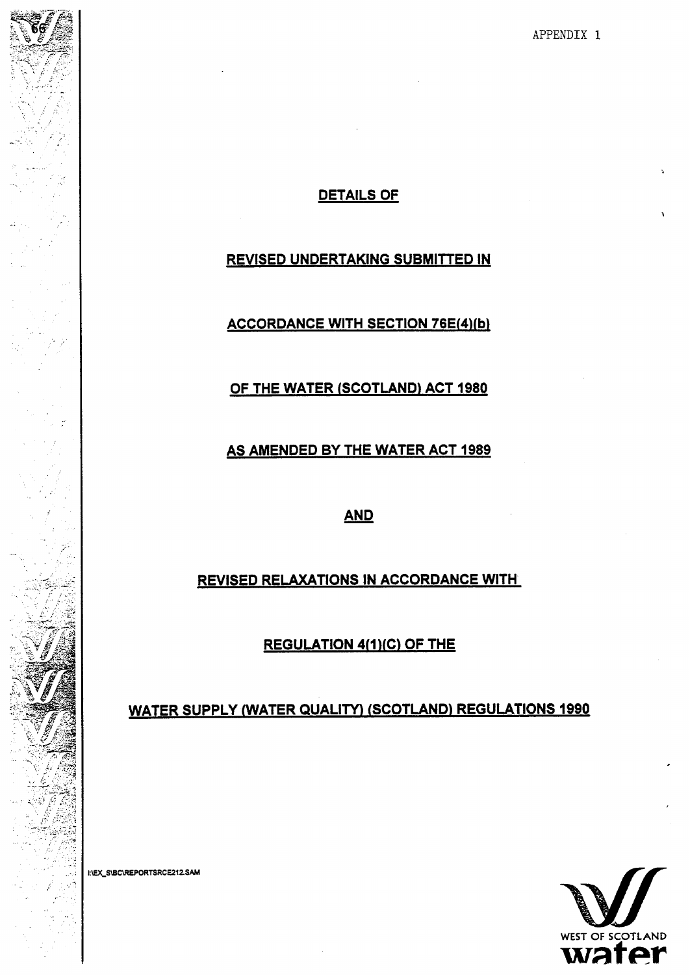**APPENDIX** 1

## **DETAILS OF**

## **REVISED UNDERTAKING SUBMITTED IN**

**ACCORDANCE WITH SECTION 76E(4)(b)** 

**OF THE WATER (SCOTLAND) ACT 1980** 

**AS AMENDED BY THE WATER ACT 1989**  TH<mark>E WAT</mark>E<br><u>AND</u>

**REVISED RELAXATIONS IN ACCORDANCE WITH** 

**REGULATION 4(1)(C) OF THE** 

**WATER SUPPLY (WATER QUALITY) (SCOTLAND) REGULATIONS 1990** 



. \_.

**'L**   $\mathbb{R}^3$  $\mathbb{R}^{N}$  ,

-. . .

 $\overline{\phantom{a}}$  $\mathcal{L} \mathcal{L}_\mathbf{r}$ 

,.

.. ..

.,

 $\sim$  .

.<br>المو

..

. ..

.. .. .. .I -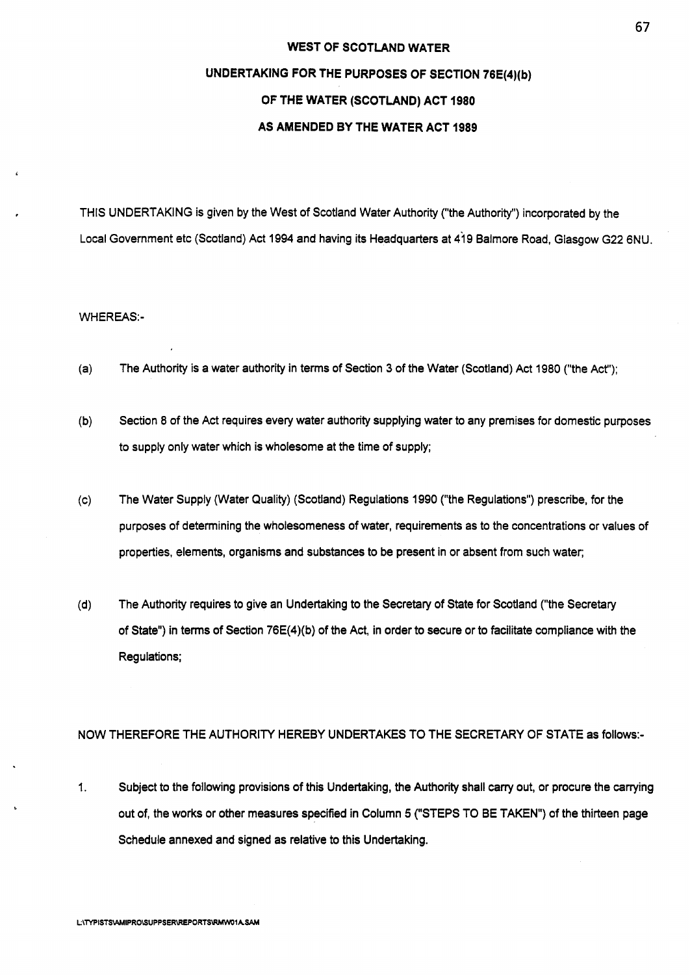#### **WEST OF SCOTLAND WATER**

## **UNDERTAKING FOR THE PURPOSES OF SECTION 76E(4)(b) OF THE WATER (SCOTLAND) ACT 1980 AS AMENDED BY THE WATER ACT 1989**

THIS UNDERTAKING is given by the West of Scotland Water Authority ("the Authority") incorporated by the Local Government etc (Scotland) Act 1994 and having its Headquarters at 419 Balmore Road, Glasgow G22 6NU.

#### **WHEREAS:-**

- (a) The Authority is a water authority in terms of Section 3 of the Water (Scotland) Act 1980 ("the Act');
- (b) Section 8 of the Act requires every water authority supplying water to any premises for domestic purposes to supply only water which is wholesome at the time of supply;
- (c) The Water Supply (Water Quality) (Scotland) Regulations 1990 ("the Regulations") prescribe, for the purposes of determining the wholesomeness of water, requirements as to the concentrations or values of properties, elements, organisms and substances to be present in or absent from such water;
- (d) The Authority requires to give an Undertaking to the Secretary of State for Scotland ("the Secretary of State") in terms of Section 76E(4)(b) of the Act, in order to secure or to facilitate compliance with the Regulations;

#### NOW THEREFORE THE AUTHORITY HEREBY UNDERTAKES TO THE SECRETARY OF STATE as follows:-

1. Subject to the following provisions of this Undertaking, the Authority shall carry out, or procure the carrying out of, the works or other measures specified in Column 5 ("STEPS TO BE TAKEN") of the thirteen page Schedule annexed and signed as relative to this Undertaking.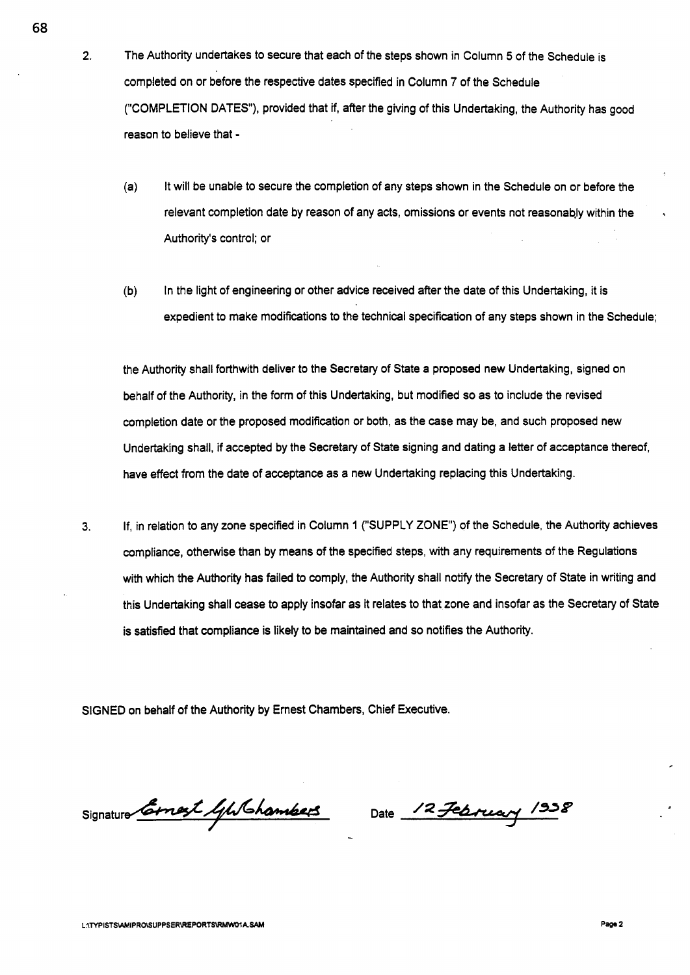**2.** The Authority undertakes to secure that each of the steps shown in Column **5** of the Schedule is completed on or before the respective dates specified in Column **7** of the Schedule ("COMPLETION DATES"), provided that if, after the giving of this Undertaking, the Authority has good reason to believe that -

- (a) It will be unable to secure the completion of any steps shown in the Schedule on or before the relevant completion date by reason of any acts, omissions or events not reasonably within the Authority's control; or
- (b) In the light of engineering or other advice received after the date of this Undertaking, it is expedient to make modifications to the technical specification of any steps shown in the Schedule;

the Authority shall forthwith deliver to the Secretary of State a proposed new Undertaking, signed on behalf of the Authority, in the form of this Undertaking, but modified **so** as to include the revised completion date or the proposed modification or both, as the case may be, and such proposed new Undertaking shall, if accepted by the Secretary **of** State signing and dating a letter of acceptance thereof, have effect from the date of acceptance as a new Undertaking replacing this Undertaking.

**3.** If, in relation to any zone specified in Column 1 ("SUPPLY **ZONE')** of the Schedule, the Authority achieves compliance, otherwise than by means of the specified steps, with any requirements of the Regulations with which the Authority has failed to comply, the Authority shall notify the Secretary of State in writing and this Undertaking shall cease to apply insofar **as** it relates to that zone and insofar as the Secretary of State is satisfied that compliance is likely to be maintained and **so** notifies the Authority.

SIGNED on behalf of the Authority by Ernest Chambers, Chief Executive.

 $Signature$ *Cornest 4/15 hambers* 

Date 12 February 1938

**68** 

.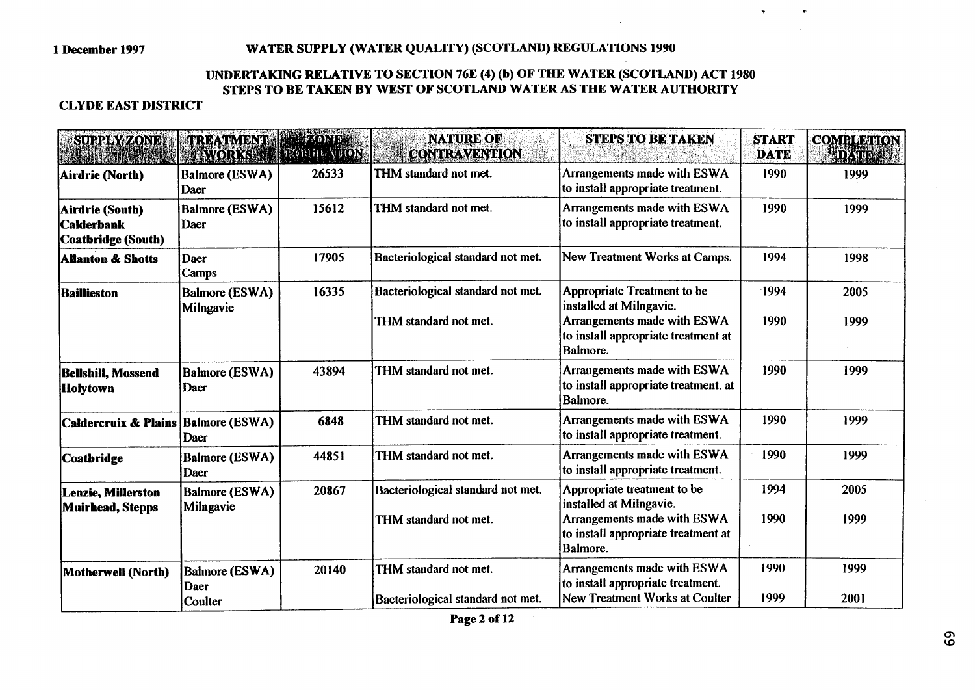## **1 December 1997 WATER SUPPLY (WATER QUALITY) (SCOTLAND) REGULATIONS 1990**

## **UNDERTAKING RELATIVE TO SECTION 76E (4) (b) OF THE WATER (SCOTLAND) ACT 1980 STEPS TO BE TAKEN BY WEST OF SCOTLAND WATER AS THE WATER AUTHORITY**

## **CLYDE EAST DISTRICT**

| <b>SUPPLY ZONE</b>                                                | TREATMENT FRZOND<br><b>EWORKS PROBIN WON</b> |       | <b>NATURE OF</b><br><b>CONTRAVENTION</b>                   | <b>STEPS TO BE TAKEN</b>                                                                                                                 | <b>START</b><br><b>DATE</b> | <b>COMBLETION</b><br><b>ADATION</b> |
|-------------------------------------------------------------------|----------------------------------------------|-------|------------------------------------------------------------|------------------------------------------------------------------------------------------------------------------------------------------|-----------------------------|-------------------------------------|
| Airdrie (North)                                                   | <b>Balmore (ESWA)</b><br>Daer                | 26533 | THM standard not met.                                      | Arrangements made with ESWA<br>to install appropriate treatment.                                                                         | 1990                        | 1999                                |
| Airdrie (South)<br><b>Calderbank</b><br><b>Coatbridge (South)</b> | <b>Balmore (ESWA)</b><br>Daer                | 15612 | THM standard not met.                                      | Arrangements made with ESWA<br>to install appropriate treatment.                                                                         | 1990                        | 1999                                |
| <b>Allanton &amp; Shotts</b>                                      | Daer<br>Camps                                | 17905 | Bacteriological standard not met.                          | New Treatment Works at Camps.                                                                                                            | 1994                        | 1998                                |
| Baillieston                                                       | <b>Balmore (ESWA)</b><br>Milngavie           | 16335 | Bacteriological standard not met.<br>THM standard not met. | <b>Appropriate Treatment to be</b><br>installed at Milngavie.<br>Arrangements made with ESWA                                             | 1994<br>1990                | 2005<br>1999                        |
|                                                                   |                                              |       |                                                            | to install appropriate treatment at<br><b>Balmore.</b>                                                                                   |                             |                                     |
| <b>Bellshill, Mossend</b><br>Holytown                             | <b>Balmore (ESWA)</b><br>Daer                | 43894 | THM standard not met.                                      | Arrangements made with ESWA<br>to install appropriate treatment. at<br>Balmore.                                                          | 1990                        | 1999                                |
| Caldercruix & Plains Balmore (ESWA)                               | Daer                                         | 6848  | THM standard not met.                                      | Arrangements made with ESWA<br>to install appropriate treatment.                                                                         | 1990                        | 1999                                |
| <b>Coatbridge</b>                                                 | <b>Balmore (ESWA)</b><br>Daer                | 44851 | THM standard not met.                                      | Arrangements made with ESWA<br>to install appropriate treatment.                                                                         | 1990                        | 1999                                |
| <b>Lenzie, Millerston</b><br>Muirhead, Stepps                     | <b>Balmore (ESWA)</b><br>Milngavie           | 20867 | Bacteriological standard not met.<br>THM standard not met. | Appropriate treatment to be<br>installed at Milngavie.<br>Arrangements made with ESWA<br>to install appropriate treatment at<br>Balmore. | 1994<br>1990                | 2005<br>1999                        |
| Motherwell (North)                                                | <b>Balmore (ESWA)</b><br>Daer<br>Coulter     | 20140 | THM standard not met.<br>Bacteriological standard not met. | Arrangements made with ESWA<br>to install appropriate treatment.<br><b>New Treatment Works at Coulter</b>                                | 1990<br>1999                | 1999<br>2001                        |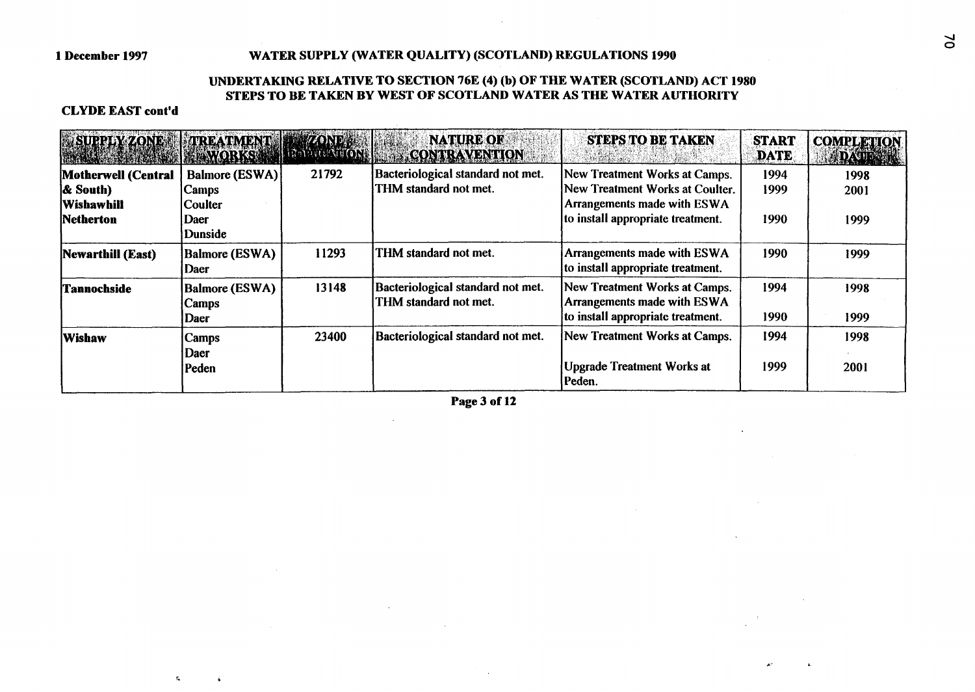#### **1 December 1997 WATER SUPPLY (WATER QUALITY) (SCOTLAND) REGULATIONS 1990**

#### **UNDERTAKING RELATIVE TO SECTION 76E (4) (b) OF THE WATER (SCOTLAND) ACT 1980 STEPS TO BE TAKEN BY WEST OF SCOTLAND WATER AS THE WATER AUTHORITY**

**Contractor** 

#### **CLYDE EAST cont'd**

 $\mathbf{g}_\mathrm{c}$ 

 $\mathbf{A}$ 

| BURREYZONE TREATMENT ZONES | WORKS MI                       |       | <b>NATURE OF</b><br><b>CONTRAVENTION</b>                   | <b>STEPS TO BE TAKEN</b>                                                | <b>START</b><br><b>DATE</b> | <b>COMPLETION</b><br><b>DATE IN</b> |
|----------------------------|--------------------------------|-------|------------------------------------------------------------|-------------------------------------------------------------------------|-----------------------------|-------------------------------------|
| Motherwell (Central        | Balmore (ESWA)                 | 21792 | Bacteriological standard not met.                          | New Treatment Works at Camps.                                           | 1994                        | 1998                                |
| <b>&amp; South</b> )       | Camps                          |       | THM standard not met.                                      | New Treatment Works at Coulter.                                         | 1999                        | 2001                                |
| <b>Wishawhill</b>          | Coulter                        |       |                                                            | Arrangements made with ESWA                                             |                             |                                     |
| Netherton                  | Daer<br>Dunside                |       |                                                            | to install appropriate treatment.                                       | 1990                        | 1999                                |
| Newarthill (East)          | Balmore (ESWA)<br>Daer         | 11293 | THM standard not met.                                      | <b>Arrangements made with ESWA</b><br>to install appropriate treatment. | 1990                        | 1999                                |
| <b>Tannochside</b>         | Balmore (ESWA)<br><b>Camps</b> | 13148 | Bacteriological standard not met.<br>THM standard not met. | New Treatment Works at Camps.<br>Arrangements made with ESWA            | 1994                        | 1998                                |
|                            | Daer                           |       |                                                            | to install appropriate treatment.                                       | 1990                        | 1999                                |
| Wishaw                     | Camps<br>Daer                  | 23400 | Bacteriological standard not met.                          | New Treatment Works at Camps.                                           | 1994                        | 1998                                |
|                            | Peden                          |       |                                                            | <b>Upgrade Treatment Works at</b><br>Peden.                             | 1999                        | 2001                                |

**Page 3 of 12** 

 $\sim 10^7$ 

 $\sim 10$ 

**c-**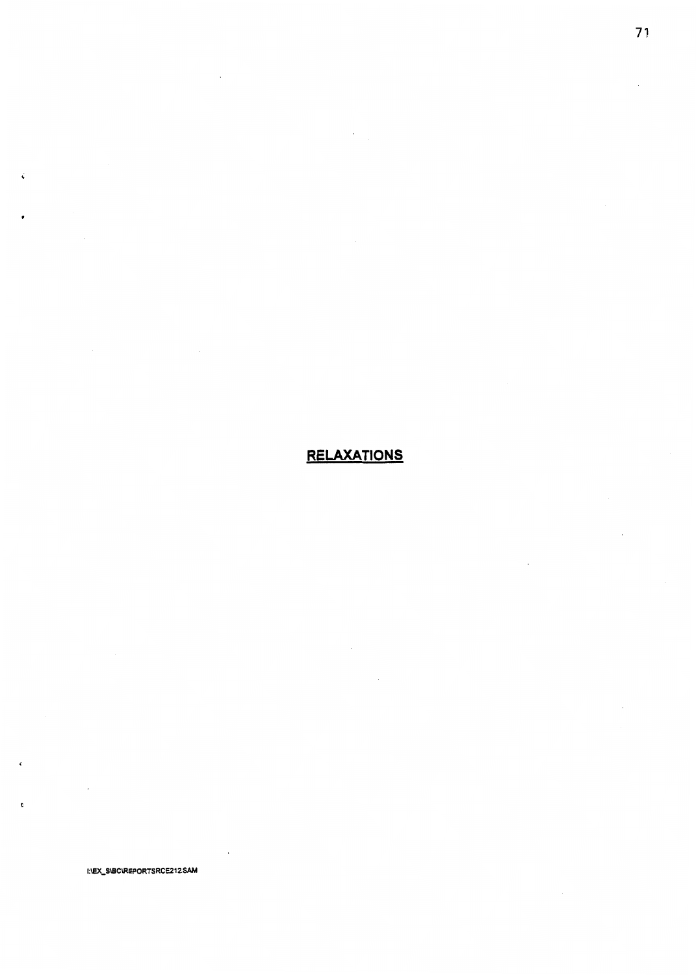## **RELAXATIONS**

 $\ddot{\phantom{0}}$ 

 $\ddot{\phantom{0}}$